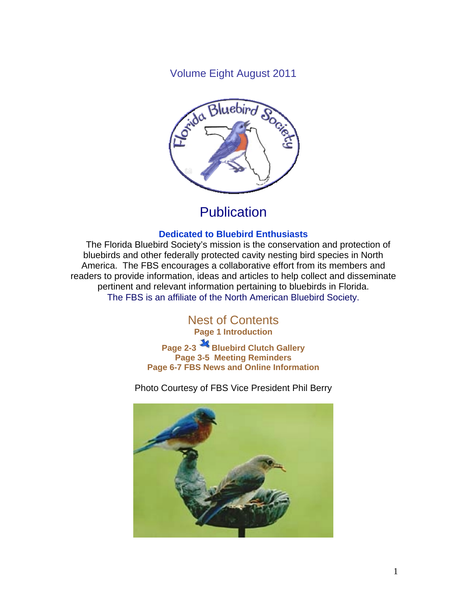Volume Eight August 2011



# **Publication**

#### **Dedicated to Bluebird Enthusiasts**

 The Florida Bluebird Society's mission is the conservation and protection of bluebirds and other federally protected cavity nesting bird species in North America. The FBS encourages a collaborative effort from its members and readers to provide information, ideas and articles to help collect and disseminate pertinent and relevant information pertaining to bluebirds in Florida. The FBS is an affiliate of the North American Bluebird Society.

> Nest of Contents **Page 1 Introduction Page 2-3 Bluebird Clutch Gallery Page 3-5 Meeting Reminders**

**Page 6-7 FBS News and Online Information** 

Photo Courtesy of FBS Vice President Phil Berry

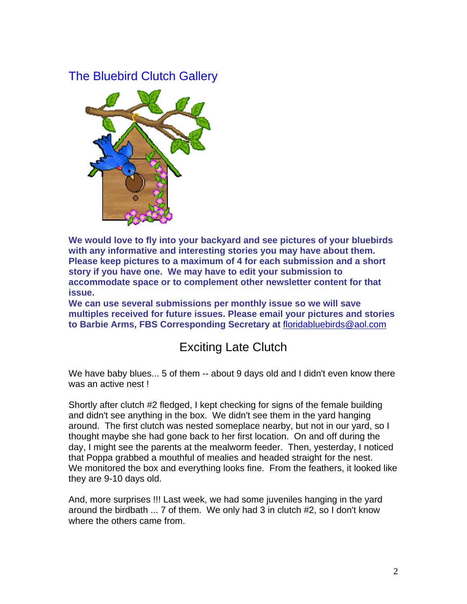## The Bluebird Clutch Gallery



**We would love to fly into your backyard and see pictures of your bluebirds with any informative and interesting stories you may have about them. Please keep pictures to a maximum of 4 for each submission and a short story if you have one. We may have to edit your submission to accommodate space or to complement other newsletter content for that issue.** 

**We can use several submissions per monthly issue so we will save multiples received for future issues. Please email your pictures and stories to Barbie Arms, FBS Corresponding Secretary at** floridabluebirds@aol.com

## Exciting Late Clutch

We have baby blues... 5 of them -- about 9 days old and I didn't even know there was an active nest !

Shortly after clutch #2 fledged, I kept checking for signs of the female building and didn't see anything in the box. We didn't see them in the yard hanging around. The first clutch was nested someplace nearby, but not in our yard, so I thought maybe she had gone back to her first location. On and off during the day, I might see the parents at the mealworm feeder. Then, yesterday, I noticed that Poppa grabbed a mouthful of mealies and headed straight for the nest. We monitored the box and everything looks fine. From the feathers, it looked like they are 9-10 days old.

And, more surprises !!! Last week, we had some juveniles hanging in the yard around the birdbath ... 7 of them. We only had 3 in clutch #2, so I don't know where the others came from.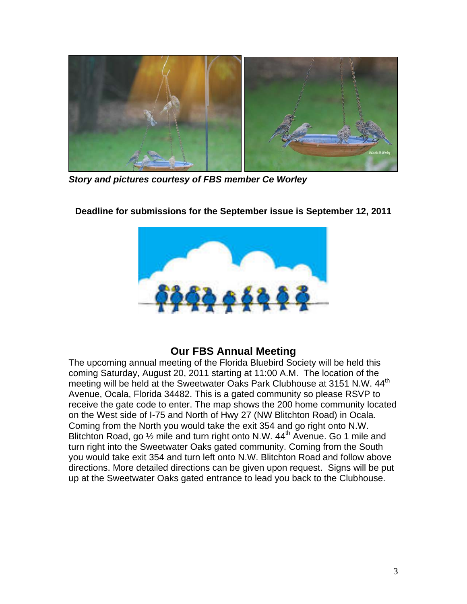

*Story and pictures courtesy of FBS member Ce Worley* 



**Deadline for submissions for the September issue is September 12, 2011** 

### **Our FBS Annual Meeting**

The upcoming annual meeting of the Florida Bluebird Society will be held this coming Saturday, August 20, 2011 starting at 11:00 A.M. The location of the meeting will be held at the Sweetwater Oaks Park Clubhouse at 3151 N.W. 44<sup>th</sup> Avenue, Ocala, Florida 34482. This is a gated community so please RSVP to receive the gate code to enter. The map shows the 200 home community located on the West side of I-75 and North of Hwy 27 (NW Blitchton Road) in Ocala. Coming from the North you would take the exit 354 and go right onto N.W. Blitchton Road, go  $\frac{1}{2}$  mile and turn right onto N.W. 44<sup>th</sup> Avenue. Go 1 mile and turn right into the Sweetwater Oaks gated community. Coming from the South you would take exit 354 and turn left onto N.W. Blitchton Road and follow above directions. More detailed directions can be given upon request. Signs will be put up at the Sweetwater Oaks gated entrance to lead you back to the Clubhouse.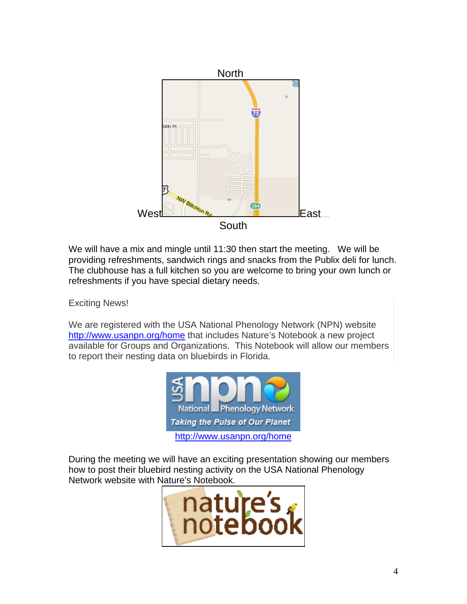

We will have a mix and mingle until 11:30 then start the meeting. We will be providing refreshments, sandwich rings and snacks from the Publix deli for lunch. The clubhouse has a full kitchen so you are welcome to bring your own lunch or refreshments if you have special dietary needs.

Exciting News!

We are registered with the USA National Phenology Network (NPN) website http://www.usanpn.org/home that includes Nature's Notebook a new project available for Groups and Organizations. This Notebook will allow our members to report their nesting data on bluebirds in Florida.



During the meeting we will have an exciting presentation showing our members how to post their bluebird nesting activity on the USA National Phenology Network website with Nature's Notebook.

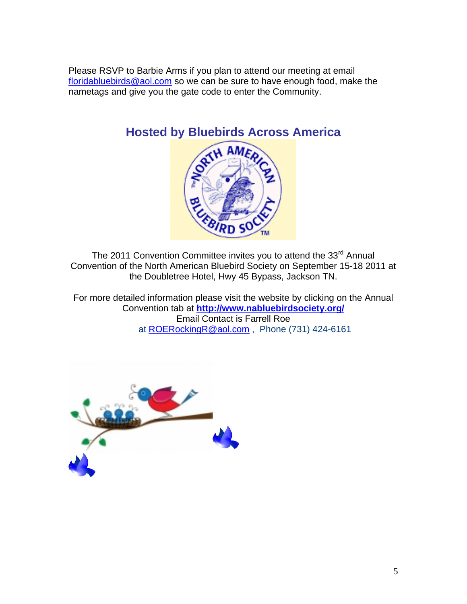Please RSVP to Barbie Arms if you plan to attend our meeting at email floridabluebirds@aol.com so we can be sure to have enough food, make the nametags and give you the gate code to enter the Community.



The 2011 Convention Committee invites you to attend the 33<sup>rd</sup> Annual Convention of the North American Bluebird Society on September 15-18 2011 at the Doubletree Hotel, Hwy 45 Bypass, Jackson TN.

For more detailed information please visit the website by clicking on the Annual Convention tab at **http://www.nabluebirdsociety.org/** Email Contact is Farrell Roe at ROERockingR@aol.com , Phone (731) 424-6161

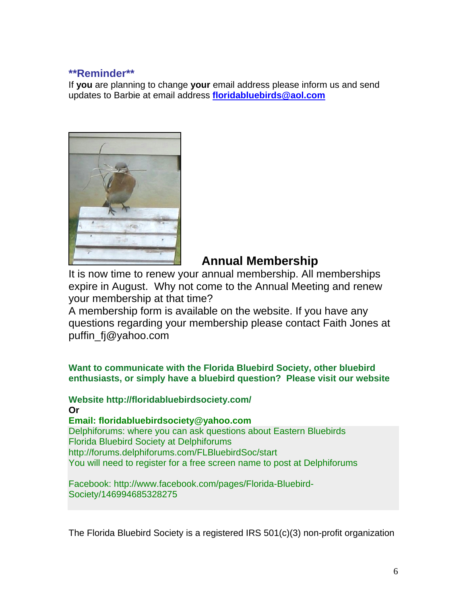#### **\*\*Reminder\*\***

If **you** are planning to change **your** email address please inform us and send updates to Barbie at email address **floridabluebirds@aol.com**



### **Annual Membership**

It is now time to renew your annual membership. All memberships expire in August. Why not come to the Annual Meeting and renew your membership at that time?

A membership form is available on the website. If you have any questions regarding your membership please contact Faith Jones at puffin\_fj@yahoo.com

**Want to communicate with the Florida Bluebird Society, other bluebird enthusiasts, or simply have a bluebird question? Please visit our website** 

**Website http://floridabluebirdsociety.com/ Or Email: floridabluebirdsociety@yahoo.com**  Delphiforums: where you can ask questions about Eastern Bluebirds Florida Bluebird Society at Delphiforums http://forums.delphiforums.com/FLBluebirdSoc/start You will need to register for a free screen name to post at Delphiforums

Facebook: http://www.facebook.com/pages/Florida-Bluebird-Society/146994685328275

The Florida Bluebird Society is a registered IRS 501(c)(3) non-profit organization